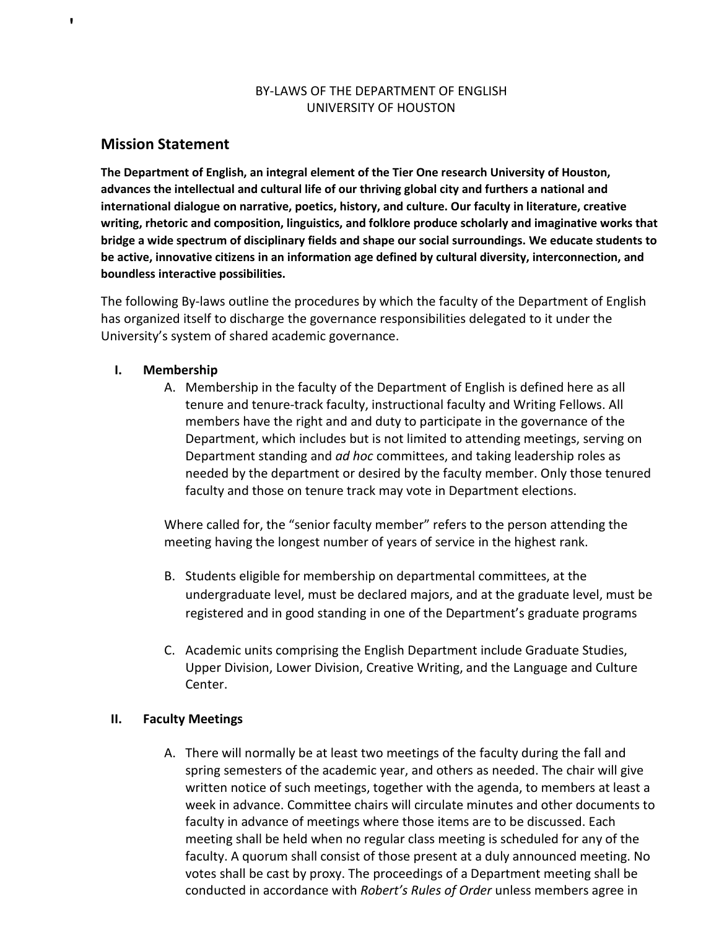# BY-LAWS OF THE DEPARTMENT OF ENGLISH UNIVERSITY OF HOUSTON

# **Mission Statement**

'

**The Department of English, an integral element of the Tier One research University of Houston, advances the intellectual and cultural life of our thriving global city and furthers a national and international dialogue on narrative, poetics, history, and culture. Our faculty in literature, creative writing, rhetoric and composition, linguistics, and folklore produce scholarly and imaginative works that bridge a wide spectrum of disciplinary fields and shape our social surroundings. We educate students to be active, innovative citizens in an information age defined by cultural diversity, interconnection, and boundless interactive possibilities.**

The following By-laws outline the procedures by which the faculty of the Department of English has organized itself to discharge the governance responsibilities delegated to it under the University's system of shared academic governance.

## **I. Membership**

A. Membership in the faculty of the Department of English is defined here as all tenure and tenure-track faculty, instructional faculty and Writing Fellows. All members have the right and and duty to participate in the governance of the Department, which includes but is not limited to attending meetings, serving on Department standing and *ad hoc* committees, and taking leadership roles as needed by the department or desired by the faculty member. Only those tenured faculty and those on tenure track may vote in Department elections.

Where called for, the "senior faculty member" refers to the person attending the meeting having the longest number of years of service in the highest rank.

- B. Students eligible for membership on departmental committees, at the undergraduate level, must be declared majors, and at the graduate level, must be registered and in good standing in one of the Department's graduate programs
- C. Academic units comprising the English Department include Graduate Studies, Upper Division, Lower Division, Creative Writing, and the Language and Culture Center.

# **II. Faculty Meetings**

A. There will normally be at least two meetings of the faculty during the fall and spring semesters of the academic year, and others as needed. The chair will give written notice of such meetings, together with the agenda, to members at least a week in advance. Committee chairs will circulate minutes and other documents to faculty in advance of meetings where those items are to be discussed. Each meeting shall be held when no regular class meeting is scheduled for any of the faculty. A quorum shall consist of those present at a duly announced meeting. No votes shall be cast by proxy. The proceedings of a Department meeting shall be conducted in accordance with *Robert's Rules of Order* unless members agree in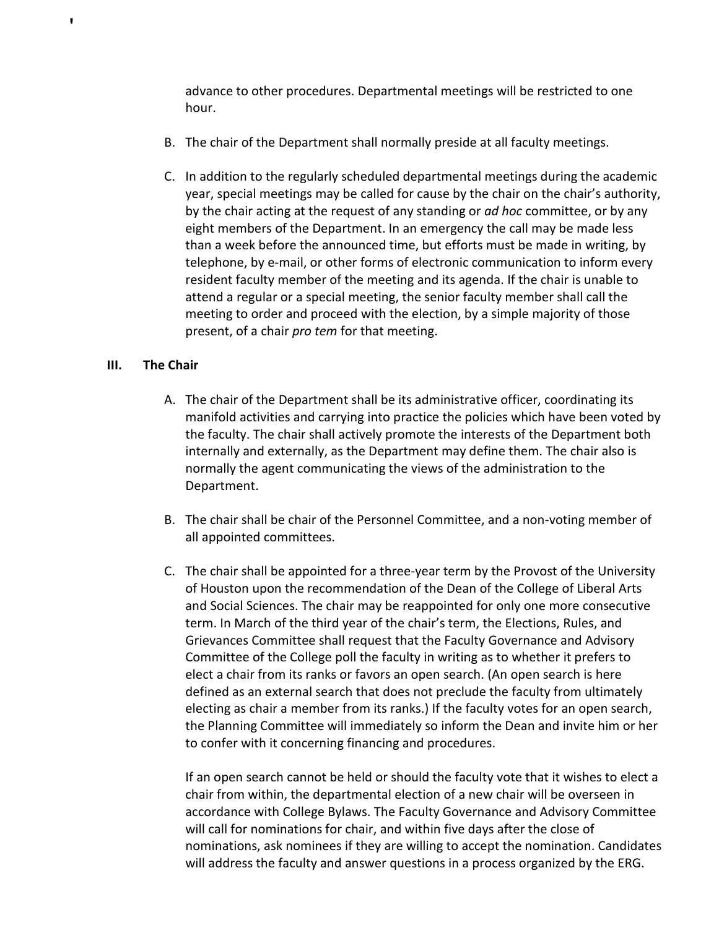advance to other procedures. Departmental meetings will be restricted to one hour.

- B. The chair of the Department shall normally preside at all faculty meetings.
- C. In addition to the regularly scheduled departmental meetings during the academic year, special meetings may be called for cause by the chair on the chair's authority, by the chair acting at the request of any standing or *ad hoc* committee, or by any eight members of the Department. In an emergency the call may be made less than a week before the announced time, but efforts must be made in writing, by telephone, by e-mail, or other forms of electronic communication to inform every resident faculty member of the meeting and its agenda. If the chair is unable to attend a regular or a special meeting, the senior faculty member shall call the meeting to order and proceed with the election, by a simple majority of those present, of a chair *pro tem* for that meeting.

## **III. The Chair**

'

- A. The chair of the Department shall be its administrative officer, coordinating its manifold activities and carrying into practice the policies which have been voted by the faculty. The chair shall actively promote the interests of the Department both internally and externally, as the Department may define them. The chair also is normally the agent communicating the views of the administration to the Department.
- B. The chair shall be chair of the Personnel Committee, and a non-voting member of all appointed committees.
- C. The chair shall be appointed for a three-year term by the Provost of the University of Houston upon the recommendation of the Dean of the College of Liberal Arts and Social Sciences. The chair may be reappointed for only one more consecutive term. In March of the third year of the chair's term, the Elections, Rules, and Grievances Committee shall request that the Faculty Governance and Advisory Committee of the College poll the faculty in writing as to whether it prefers to elect a chair from its ranks or favors an open search. (An open search is here defined as an external search that does not preclude the faculty from ultimately electing as chair a member from its ranks.) If the faculty votes for an open search, the Planning Committee will immediately so inform the Dean and invite him or her to confer with it concerning financing and procedures.

If an open search cannot be held or should the faculty vote that it wishes to elect a chair from within, the departmental election of a new chair will be overseen in accordance with College Bylaws. The Faculty Governance and Advisory Committee will call for nominations for chair, and within five days after the close of nominations, ask nominees if they are willing to accept the nomination. Candidates will address the faculty and answer questions in a process organized by the ERG.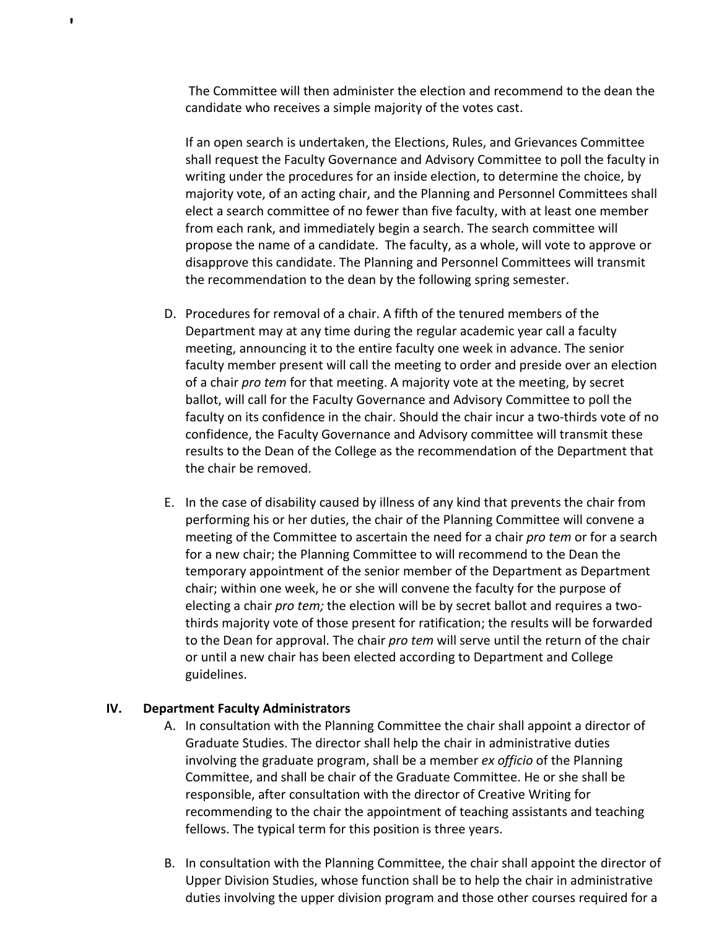The Committee will then administer the election and recommend to the dean the candidate who receives a simple majority of the votes cast.

If an open search is undertaken, the Elections, Rules, and Grievances Committee shall request the Faculty Governance and Advisory Committee to poll the faculty in writing under the procedures for an inside election, to determine the choice, by majority vote, of an acting chair, and the Planning and Personnel Committees shall elect a search committee of no fewer than five faculty, with at least one member from each rank, and immediately begin a search. The search committee will propose the name of a candidate. The faculty, as a whole, will vote to approve or disapprove this candidate. The Planning and Personnel Committees will transmit the recommendation to the dean by the following spring semester.

- D. Procedures for removal of a chair. A fifth of the tenured members of the Department may at any time during the regular academic year call a faculty meeting, announcing it to the entire faculty one week in advance. The senior faculty member present will call the meeting to order and preside over an election of a chair *pro tem* for that meeting. A majority vote at the meeting, by secret ballot, will call for the Faculty Governance and Advisory Committee to poll the faculty on its confidence in the chair. Should the chair incur a two-thirds vote of no confidence, the Faculty Governance and Advisory committee will transmit these results to the Dean of the College as the recommendation of the Department that the chair be removed.
- E. In the case of disability caused by illness of any kind that prevents the chair from performing his or her duties, the chair of the Planning Committee will convene a meeting of the Committee to ascertain the need for a chair *pro tem* or for a search for a new chair; the Planning Committee to will recommend to the Dean the temporary appointment of the senior member of the Department as Department chair; within one week, he or she will convene the faculty for the purpose of electing a chair *pro tem;* the election will be by secret ballot and requires a twothirds majority vote of those present for ratification; the results will be forwarded to the Dean for approval. The chair *pro tem* will serve until the return of the chair or until a new chair has been elected according to Department and College guidelines.

### **IV. Department Faculty Administrators**

- A. In consultation with the Planning Committee the chair shall appoint a director of Graduate Studies. The director shall help the chair in administrative duties involving the graduate program, shall be a member *ex officio* of the Planning Committee, and shall be chair of the Graduate Committee. He or she shall be responsible, after consultation with the director of Creative Writing for recommending to the chair the appointment of teaching assistants and teaching fellows. The typical term for this position is three years.
- B. In consultation with the Planning Committee, the chair shall appoint the director of Upper Division Studies, whose function shall be to help the chair in administrative duties involving the upper division program and those other courses required for a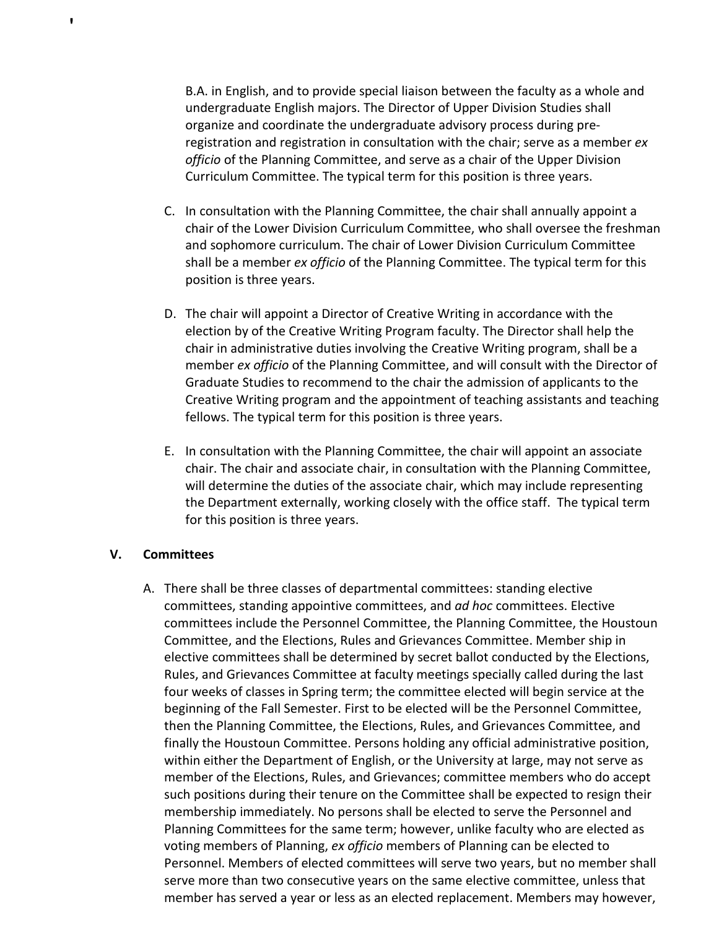B.A. in English, and to provide special liaison between the faculty as a whole and undergraduate English majors. The Director of Upper Division Studies shall organize and coordinate the undergraduate advisory process during preregistration and registration in consultation with the chair; serve as a member *ex officio* of the Planning Committee, and serve as a chair of the Upper Division Curriculum Committee. The typical term for this position is three years.

- C. In consultation with the Planning Committee, the chair shall annually appoint a chair of the Lower Division Curriculum Committee, who shall oversee the freshman and sophomore curriculum. The chair of Lower Division Curriculum Committee shall be a member *ex officio* of the Planning Committee. The typical term for this position is three years.
- D. The chair will appoint a Director of Creative Writing in accordance with the election by of the Creative Writing Program faculty. The Director shall help the chair in administrative duties involving the Creative Writing program, shall be a member *ex officio* of the Planning Committee, and will consult with the Director of Graduate Studies to recommend to the chair the admission of applicants to the Creative Writing program and the appointment of teaching assistants and teaching fellows. The typical term for this position is three years.
- E. In consultation with the Planning Committee, the chair will appoint an associate chair. The chair and associate chair, in consultation with the Planning Committee, will determine the duties of the associate chair, which may include representing the Department externally, working closely with the office staff. The typical term for this position is three years.

### **V. Committees**

'

A. There shall be three classes of departmental committees: standing elective committees, standing appointive committees, and *ad hoc* committees. Elective committees include the Personnel Committee, the Planning Committee, the Houstoun Committee, and the Elections, Rules and Grievances Committee. Member ship in elective committees shall be determined by secret ballot conducted by the Elections, Rules, and Grievances Committee at faculty meetings specially called during the last four weeks of classes in Spring term; the committee elected will begin service at the beginning of the Fall Semester. First to be elected will be the Personnel Committee, then the Planning Committee, the Elections, Rules, and Grievances Committee, and finally the Houstoun Committee. Persons holding any official administrative position, within either the Department of English, or the University at large, may not serve as member of the Elections, Rules, and Grievances; committee members who do accept such positions during their tenure on the Committee shall be expected to resign their membership immediately. No persons shall be elected to serve the Personnel and Planning Committees for the same term; however, unlike faculty who are elected as voting members of Planning, *ex officio* members of Planning can be elected to Personnel. Members of elected committees will serve two years, but no member shall serve more than two consecutive years on the same elective committee, unless that member has served a year or less as an elected replacement. Members may however,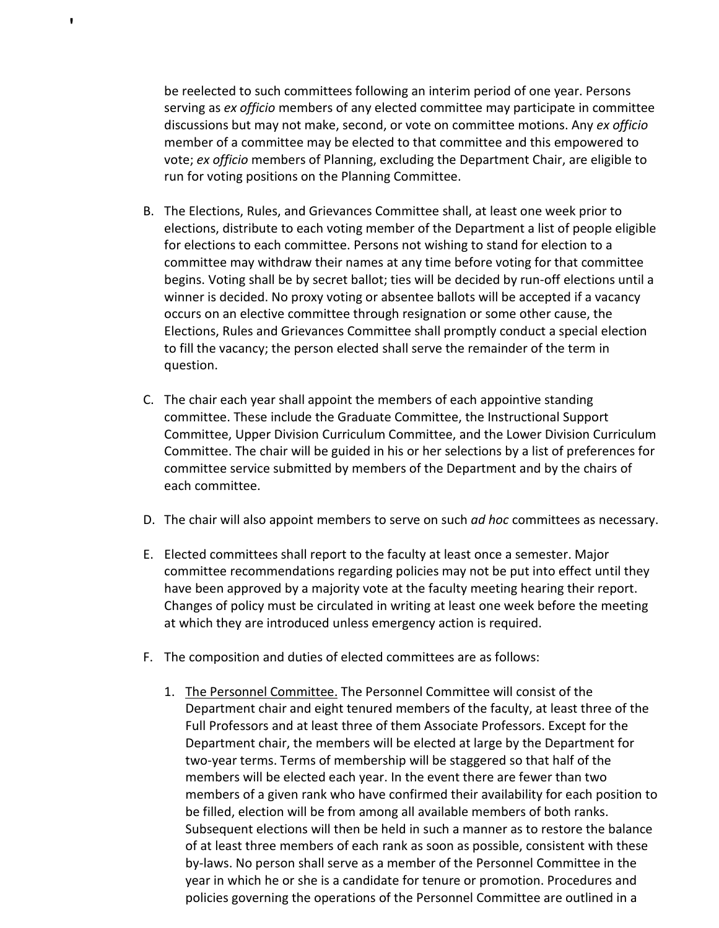be reelected to such committees following an interim period of one year. Persons serving as *ex officio* members of any elected committee may participate in committee discussions but may not make, second, or vote on committee motions. Any *ex officio* member of a committee may be elected to that committee and this empowered to vote; *ex officio* members of Planning, excluding the Department Chair, are eligible to run for voting positions on the Planning Committee.

- B. The Elections, Rules, and Grievances Committee shall, at least one week prior to elections, distribute to each voting member of the Department a list of people eligible for elections to each committee. Persons not wishing to stand for election to a committee may withdraw their names at any time before voting for that committee begins. Voting shall be by secret ballot; ties will be decided by run-off elections until a winner is decided. No proxy voting or absentee ballots will be accepted if a vacancy occurs on an elective committee through resignation or some other cause, the Elections, Rules and Grievances Committee shall promptly conduct a special election to fill the vacancy; the person elected shall serve the remainder of the term in question.
- C. The chair each year shall appoint the members of each appointive standing committee. These include the Graduate Committee, the Instructional Support Committee, Upper Division Curriculum Committee, and the Lower Division Curriculum Committee. The chair will be guided in his or her selections by a list of preferences for committee service submitted by members of the Department and by the chairs of each committee.
- D. The chair will also appoint members to serve on such *ad hoc* committees as necessary.
- E. Elected committees shall report to the faculty at least once a semester. Major committee recommendations regarding policies may not be put into effect until they have been approved by a majority vote at the faculty meeting hearing their report. Changes of policy must be circulated in writing at least one week before the meeting at which they are introduced unless emergency action is required.
- F. The composition and duties of elected committees are as follows:
	- 1. The Personnel Committee. The Personnel Committee will consist of the Department chair and eight tenured members of the faculty, at least three of the Full Professors and at least three of them Associate Professors. Except for the Department chair, the members will be elected at large by the Department for two-year terms. Terms of membership will be staggered so that half of the members will be elected each year. In the event there are fewer than two members of a given rank who have confirmed their availability for each position to be filled, election will be from among all available members of both ranks. Subsequent elections will then be held in such a manner as to restore the balance of at least three members of each rank as soon as possible, consistent with these by-laws. No person shall serve as a member of the Personnel Committee in the year in which he or she is a candidate for tenure or promotion. Procedures and policies governing the operations of the Personnel Committee are outlined in a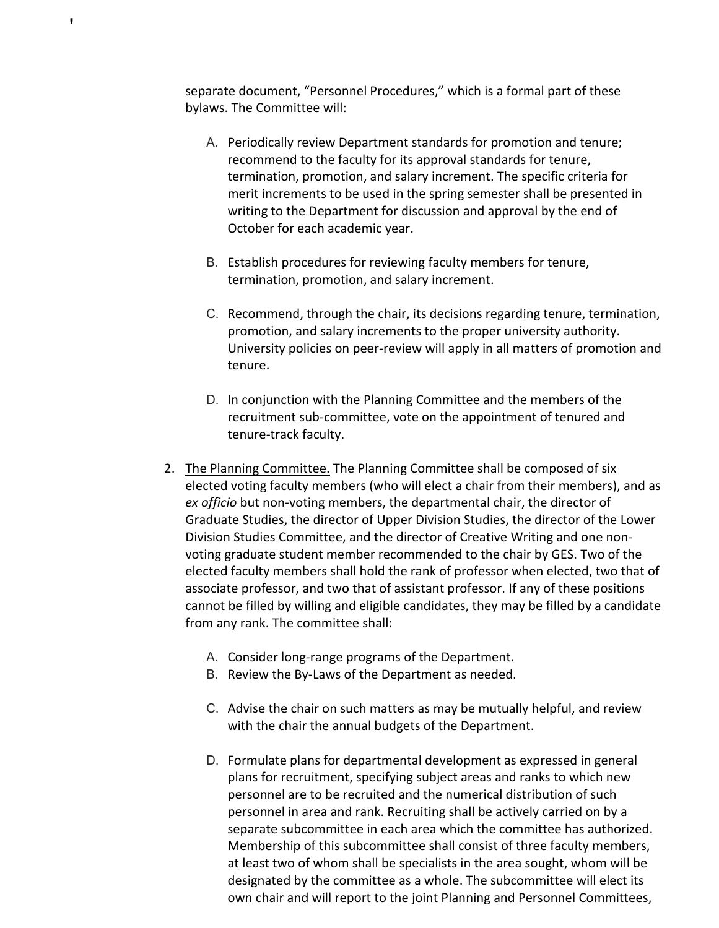separate document, "Personnel Procedures," which is a formal part of these bylaws. The Committee will:

- A. Periodically review Department standards for promotion and tenure; recommend to the faculty for its approval standards for tenure, termination, promotion, and salary increment. The specific criteria for merit increments to be used in the spring semester shall be presented in writing to the Department for discussion and approval by the end of October for each academic year.
- B. Establish procedures for reviewing faculty members for tenure, termination, promotion, and salary increment.
- C. Recommend, through the chair, its decisions regarding tenure, termination, promotion, and salary increments to the proper university authority. University policies on peer-review will apply in all matters of promotion and tenure.
- D. In conjunction with the Planning Committee and the members of the recruitment sub-committee, vote on the appointment of tenured and tenure-track faculty.
- 2. The Planning Committee. The Planning Committee shall be composed of six elected voting faculty members (who will elect a chair from their members), and as *ex officio* but non-voting members, the departmental chair, the director of Graduate Studies, the director of Upper Division Studies, the director of the Lower Division Studies Committee, and the director of Creative Writing and one nonvoting graduate student member recommended to the chair by GES. Two of the elected faculty members shall hold the rank of professor when elected, two that of associate professor, and two that of assistant professor. If any of these positions cannot be filled by willing and eligible candidates, they may be filled by a candidate from any rank. The committee shall:
	- A. Consider long-range programs of the Department.
	- B. Review the By-Laws of the Department as needed.
	- C. Advise the chair on such matters as may be mutually helpful, and review with the chair the annual budgets of the Department.
	- D. Formulate plans for departmental development as expressed in general plans for recruitment, specifying subject areas and ranks to which new personnel are to be recruited and the numerical distribution of such personnel in area and rank. Recruiting shall be actively carried on by a separate subcommittee in each area which the committee has authorized. Membership of this subcommittee shall consist of three faculty members, at least two of whom shall be specialists in the area sought, whom will be designated by the committee as a whole. The subcommittee will elect its own chair and will report to the joint Planning and Personnel Committees,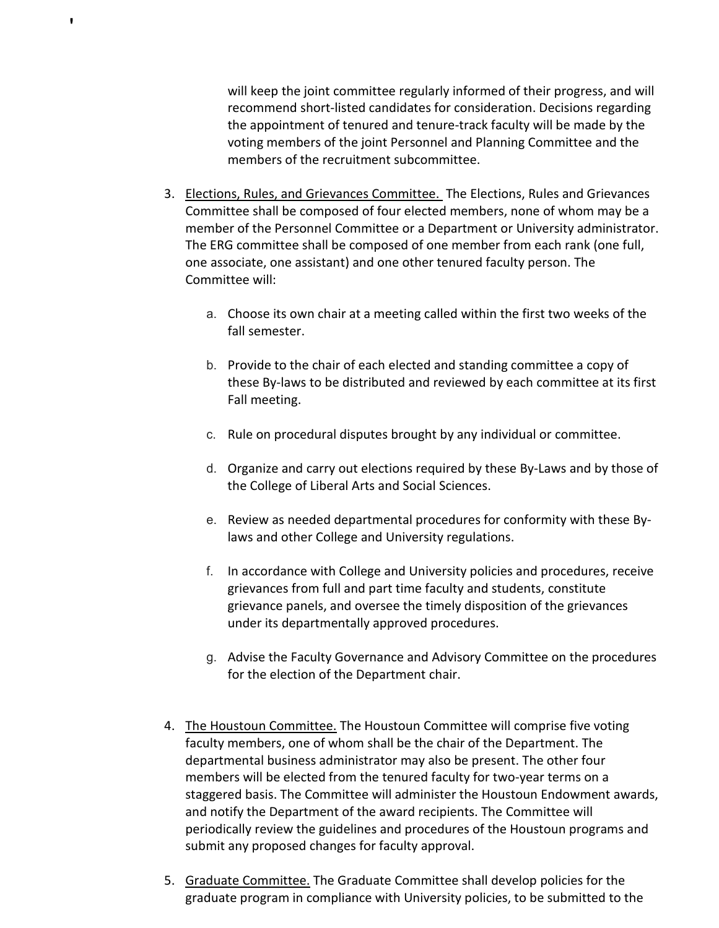will keep the joint committee regularly informed of their progress, and will recommend short-listed candidates for consideration. Decisions regarding the appointment of tenured and tenure-track faculty will be made by the voting members of the joint Personnel and Planning Committee and the members of the recruitment subcommittee.

3. Elections, Rules, and Grievances Committee. The Elections, Rules and Grievances Committee shall be composed of four elected members, none of whom may be a member of the Personnel Committee or a Department or University administrator. The ERG committee shall be composed of one member from each rank (one full, one associate, one assistant) and one other tenured faculty person. The Committee will:

- a. Choose its own chair at a meeting called within the first two weeks of the fall semester.
- b. Provide to the chair of each elected and standing committee a copy of these By-laws to be distributed and reviewed by each committee at its first Fall meeting.
- c. Rule on procedural disputes brought by any individual or committee.
- d. Organize and carry out elections required by these By-Laws and by those of the College of Liberal Arts and Social Sciences.
- e. Review as needed departmental procedures for conformity with these Bylaws and other College and University regulations.
- f. In accordance with College and University policies and procedures, receive grievances from full and part time faculty and students, constitute grievance panels, and oversee the timely disposition of the grievances under its departmentally approved procedures.
- g. Advise the Faculty Governance and Advisory Committee on the procedures for the election of the Department chair.
- 4. The Houstoun Committee. The Houstoun Committee will comprise five voting faculty members, one of whom shall be the chair of the Department. The departmental business administrator may also be present. The other four members will be elected from the tenured faculty for two-year terms on a staggered basis. The Committee will administer the Houstoun Endowment awards, and notify the Department of the award recipients. The Committee will periodically review the guidelines and procedures of the Houstoun programs and submit any proposed changes for faculty approval.
- 5. Graduate Committee. The Graduate Committee shall develop policies for the graduate program in compliance with University policies, to be submitted to the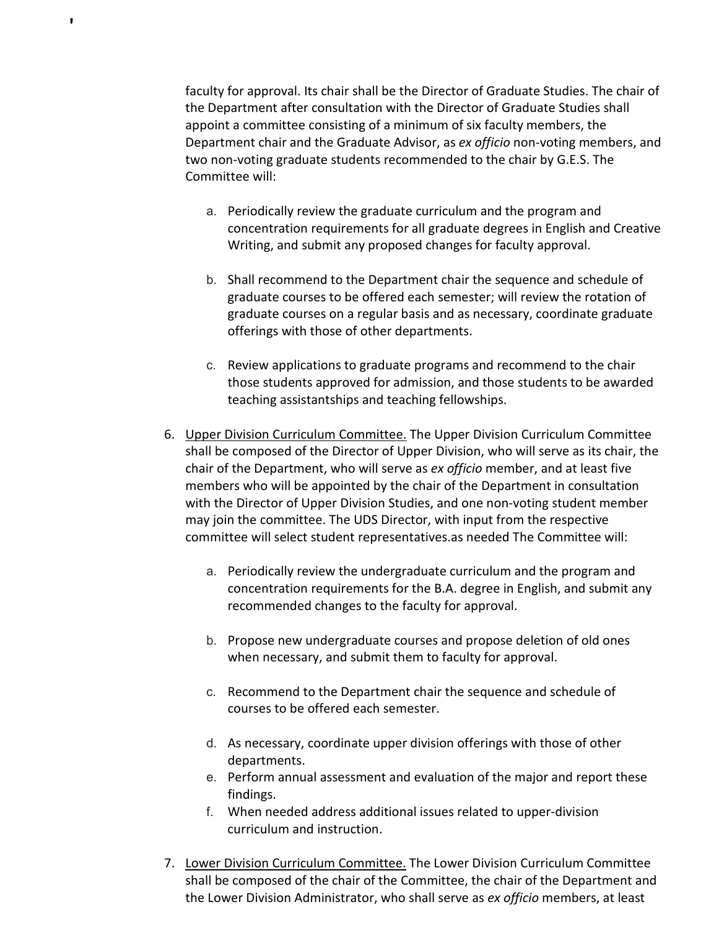faculty for approval. Its chair shall be the Director of Graduate Studies. The chair of the Department after consultation with the Director of Graduate Studies shall appoint a committee consisting of a minimum of six faculty members, the Department chair and the Graduate Advisor, as *ex officio* non-voting members, and two non-voting graduate students recommended to the chair by G.E.S. The Committee will:

- a. Periodically review the graduate curriculum and the program and concentration requirements for all graduate degrees in English and Creative Writing, and submit any proposed changes for faculty approval.
- b. Shall recommend to the Department chair the sequence and schedule of graduate courses to be offered each semester; will review the rotation of graduate courses on a regular basis and as necessary, coordinate graduate offerings with those of other departments.
- c. Review applications to graduate programs and recommend to the chair those students approved for admission, and those students to be awarded teaching assistantships and teaching fellowships.
- 6. Upper Division Curriculum Committee. The Upper Division Curriculum Committee shall be composed of the Director of Upper Division, who will serve as its chair, the chair of the Department, who will serve as *ex officio* member, and at least five members who will be appointed by the chair of the Department in consultation with the Director of Upper Division Studies, and one non-voting student member may join the committee. The UDS Director, with input from the respective committee will select student representatives.as needed The Committee will:
	- a. Periodically review the undergraduate curriculum and the program and concentration requirements for the B.A. degree in English, and submit any recommended changes to the faculty for approval.
	- b. Propose new undergraduate courses and propose deletion of old ones when necessary, and submit them to faculty for approval.
	- c. Recommend to the Department chair the sequence and schedule of courses to be offered each semester.
	- d. As necessary, coordinate upper division offerings with those of other departments.
	- e. Perform annual assessment and evaluation of the major and report these findings.
	- f. When needed address additional issues related to upper-division curriculum and instruction.
- 7. Lower Division Curriculum Committee. The Lower Division Curriculum Committee shall be composed of the chair of the Committee, the chair of the Department and the Lower Division Administrator, who shall serve as *ex officio* members, at least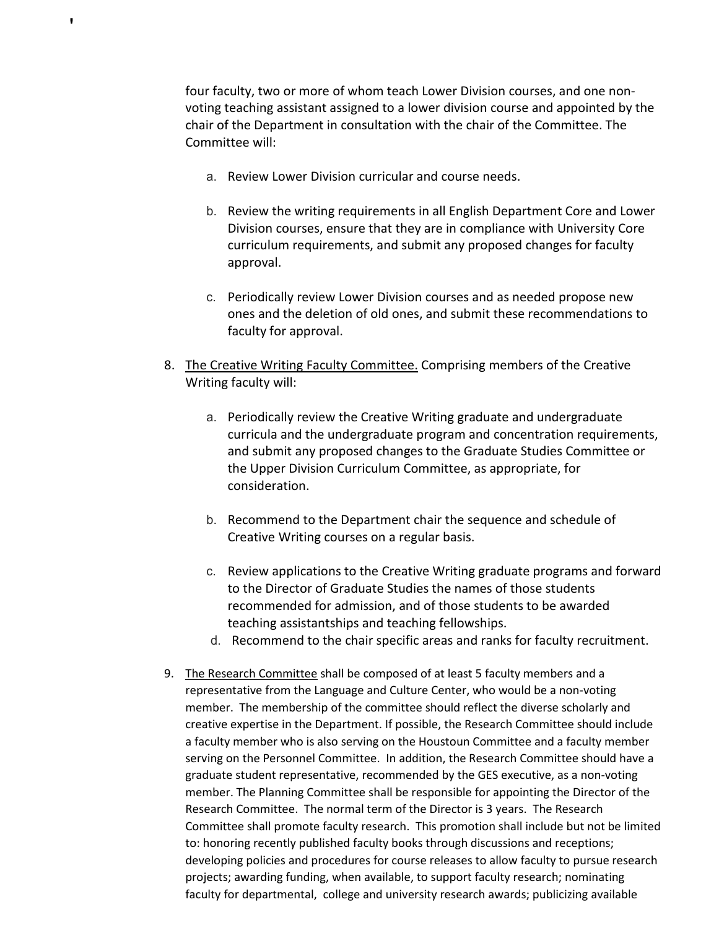four faculty, two or more of whom teach Lower Division courses, and one nonvoting teaching assistant assigned to a lower division course and appointed by the chair of the Department in consultation with the chair of the Committee. The Committee will:

a. Review Lower Division curricular and course needs.

- b. Review the writing requirements in all English Department Core and Lower Division courses, ensure that they are in compliance with University Core curriculum requirements, and submit any proposed changes for faculty approval.
- c. Periodically review Lower Division courses and as needed propose new ones and the deletion of old ones, and submit these recommendations to faculty for approval.
- 8. The Creative Writing Faculty Committee. Comprising members of the Creative Writing faculty will:
	- a. Periodically review the Creative Writing graduate and undergraduate curricula and the undergraduate program and concentration requirements, and submit any proposed changes to the Graduate Studies Committee or the Upper Division Curriculum Committee, as appropriate, for consideration.
	- b. Recommend to the Department chair the sequence and schedule of Creative Writing courses on a regular basis.
	- c. Review applications to the Creative Writing graduate programs and forward to the Director of Graduate Studies the names of those students recommended for admission, and of those students to be awarded teaching assistantships and teaching fellowships.
	- d. Recommend to the chair specific areas and ranks for faculty recruitment.
- 9. The Research Committee shall be composed of at least 5 faculty members and a representative from the Language and Culture Center, who would be a non-voting member. The membership of the committee should reflect the diverse scholarly and creative expertise in the Department. If possible, the Research Committee should include a faculty member who is also serving on the Houstoun Committee and a faculty member serving on the Personnel Committee. In addition, the Research Committee should have a graduate student representative, recommended by the GES executive, as a non-voting member. The Planning Committee shall be responsible for appointing the Director of the Research Committee. The normal term of the Director is 3 years. The Research Committee shall promote faculty research. This promotion shall include but not be limited to: honoring recently published faculty books through discussions and receptions; developing policies and procedures for course releases to allow faculty to pursue research projects; awarding funding, when available, to support faculty research; nominating faculty for departmental, college and university research awards; publicizing available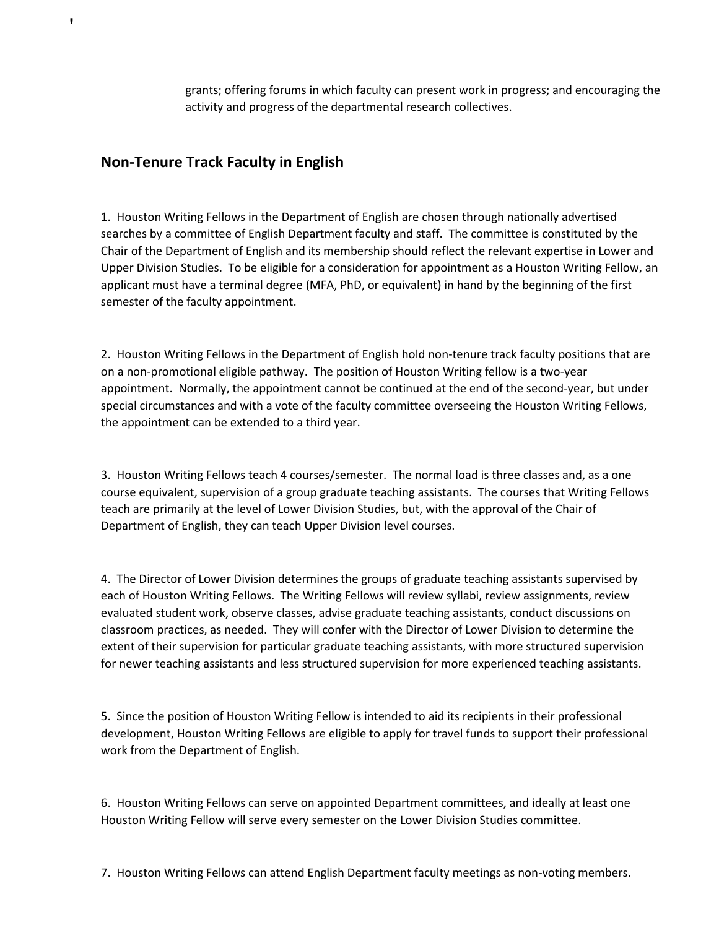grants; offering forums in which faculty can present work in progress; and encouraging the activity and progress of the departmental research collectives.

# **Non-Tenure Track Faculty in English**

'

1. Houston Writing Fellows in the Department of English are chosen through nationally advertised searches by a committee of English Department faculty and staff. The committee is constituted by the Chair of the Department of English and its membership should reflect the relevant expertise in Lower and Upper Division Studies. To be eligible for a consideration for appointment as a Houston Writing Fellow, an applicant must have a terminal degree (MFA, PhD, or equivalent) in hand by the beginning of the first semester of the faculty appointment.

2. Houston Writing Fellows in the Department of English hold non-tenure track faculty positions that are on a non-promotional eligible pathway. The position of Houston Writing fellow is a two-year appointment. Normally, the appointment cannot be continued at the end of the second-year, but under special circumstances and with a vote of the faculty committee overseeing the Houston Writing Fellows, the appointment can be extended to a third year.

3. Houston Writing Fellows teach 4 courses/semester. The normal load is three classes and, as a one course equivalent, supervision of a group graduate teaching assistants. The courses that Writing Fellows teach are primarily at the level of Lower Division Studies, but, with the approval of the Chair of Department of English, they can teach Upper Division level courses.

4. The Director of Lower Division determines the groups of graduate teaching assistants supervised by each of Houston Writing Fellows. The Writing Fellows will review syllabi, review assignments, review evaluated student work, observe classes, advise graduate teaching assistants, conduct discussions on classroom practices, as needed. They will confer with the Director of Lower Division to determine the extent of their supervision for particular graduate teaching assistants, with more structured supervision for newer teaching assistants and less structured supervision for more experienced teaching assistants.

5. Since the position of Houston Writing Fellow is intended to aid its recipients in their professional development, Houston Writing Fellows are eligible to apply for travel funds to support their professional work from the Department of English.

6. Houston Writing Fellows can serve on appointed Department committees, and ideally at least one Houston Writing Fellow will serve every semester on the Lower Division Studies committee.

7. Houston Writing Fellows can attend English Department faculty meetings as non-voting members.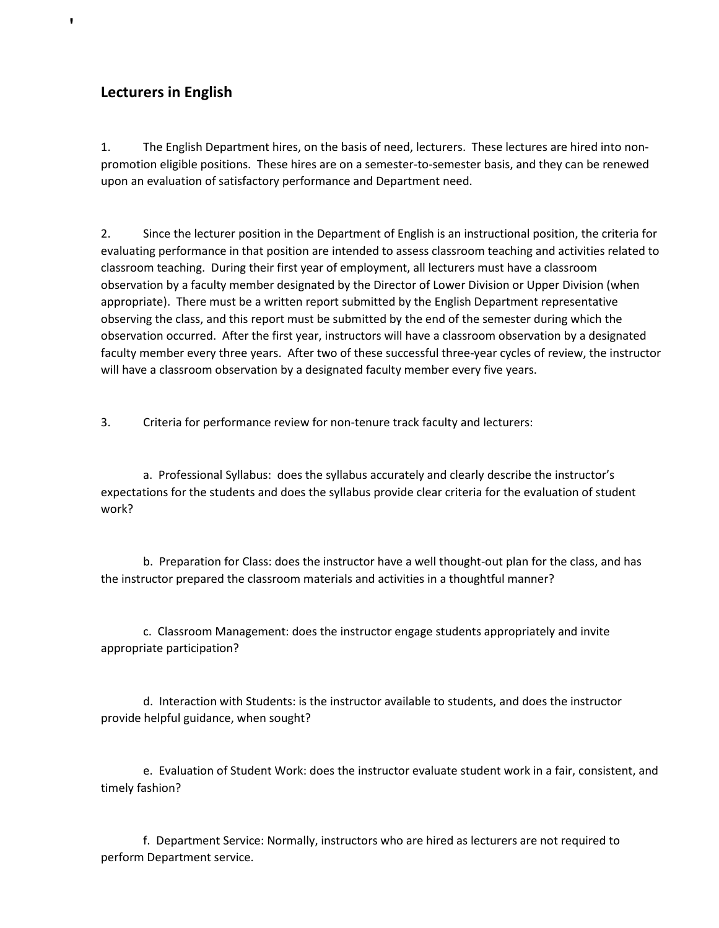# **Lecturers in English**

'

1. The English Department hires, on the basis of need, lecturers. These lectures are hired into nonpromotion eligible positions. These hires are on a semester-to-semester basis, and they can be renewed upon an evaluation of satisfactory performance and Department need.

2. Since the lecturer position in the Department of English is an instructional position, the criteria for evaluating performance in that position are intended to assess classroom teaching and activities related to classroom teaching. During their first year of employment, all lecturers must have a classroom observation by a faculty member designated by the Director of Lower Division or Upper Division (when appropriate). There must be a written report submitted by the English Department representative observing the class, and this report must be submitted by the end of the semester during which the observation occurred. After the first year, instructors will have a classroom observation by a designated faculty member every three years. After two of these successful three-year cycles of review, the instructor will have a classroom observation by a designated faculty member every five years.

3. Criteria for performance review for non-tenure track faculty and lecturers:

a. Professional Syllabus: does the syllabus accurately and clearly describe the instructor's expectations for the students and does the syllabus provide clear criteria for the evaluation of student work?

b. Preparation for Class: does the instructor have a well thought-out plan for the class, and has the instructor prepared the classroom materials and activities in a thoughtful manner?

c. Classroom Management: does the instructor engage students appropriately and invite appropriate participation?

d. Interaction with Students: is the instructor available to students, and does the instructor provide helpful guidance, when sought?

e. Evaluation of Student Work: does the instructor evaluate student work in a fair, consistent, and timely fashion?

f. Department Service: Normally, instructors who are hired as lecturers are not required to perform Department service.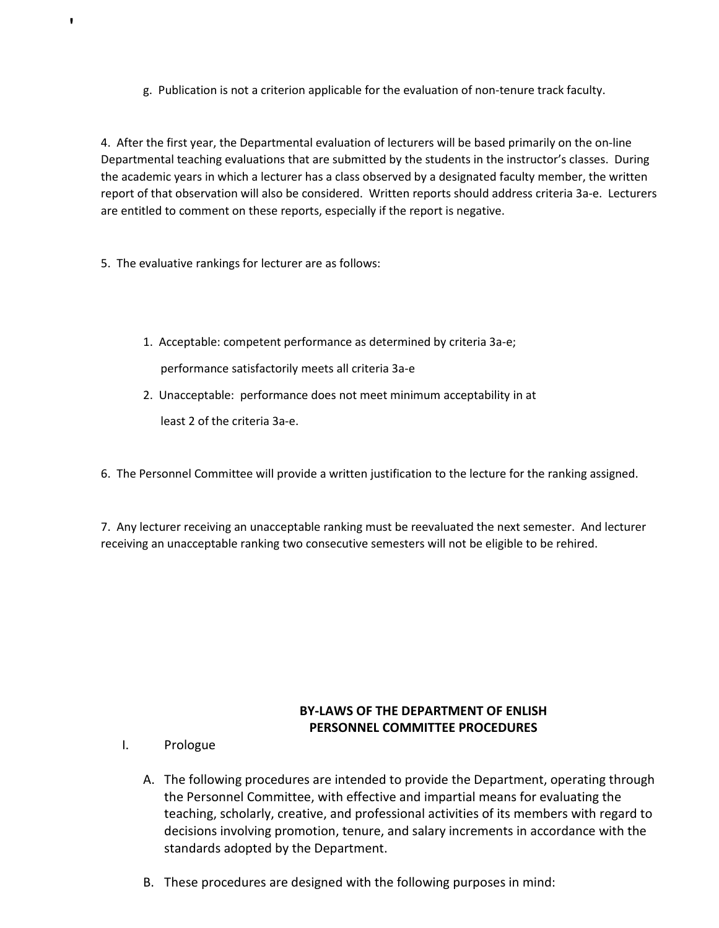g. Publication is not a criterion applicable for the evaluation of non-tenure track faculty.

4. After the first year, the Departmental evaluation of lecturers will be based primarily on the on-line Departmental teaching evaluations that are submitted by the students in the instructor's classes. During the academic years in which a lecturer has a class observed by a designated faculty member, the written report of that observation will also be considered. Written reports should address criteria 3a-e. Lecturers are entitled to comment on these reports, especially if the report is negative.

5. The evaluative rankings for lecturer are as follows:

'

1. Acceptable: competent performance as determined by criteria 3a-e;

performance satisfactorily meets all criteria 3a-e

2. Unacceptable: performance does not meet minimum acceptability in at

least 2 of the criteria 3a-e.

6. The Personnel Committee will provide a written justification to the lecture for the ranking assigned.

7. Any lecturer receiving an unacceptable ranking must be reevaluated the next semester. And lecturer receiving an unacceptable ranking two consecutive semesters will not be eligible to be rehired.

# **BY-LAWS OF THE DEPARTMENT OF ENLISH PERSONNEL COMMITTEE PROCEDURES**

- I. Prologue
	- A. The following procedures are intended to provide the Department, operating through the Personnel Committee, with effective and impartial means for evaluating the teaching, scholarly, creative, and professional activities of its members with regard to decisions involving promotion, tenure, and salary increments in accordance with the standards adopted by the Department.
	- B. These procedures are designed with the following purposes in mind: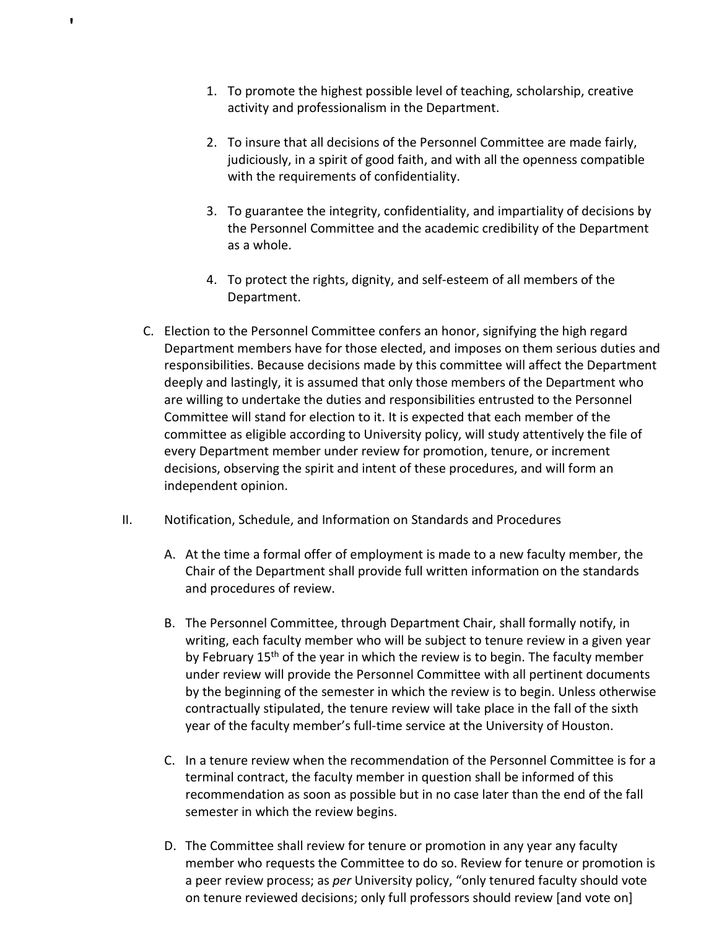1. To promote the highest possible level of teaching, scholarship, creative activity and professionalism in the Department.

- 2. To insure that all decisions of the Personnel Committee are made fairly, judiciously, in a spirit of good faith, and with all the openness compatible with the requirements of confidentiality.
- 3. To guarantee the integrity, confidentiality, and impartiality of decisions by the Personnel Committee and the academic credibility of the Department as a whole.
- 4. To protect the rights, dignity, and self-esteem of all members of the Department.
- C. Election to the Personnel Committee confers an honor, signifying the high regard Department members have for those elected, and imposes on them serious duties and responsibilities. Because decisions made by this committee will affect the Department deeply and lastingly, it is assumed that only those members of the Department who are willing to undertake the duties and responsibilities entrusted to the Personnel Committee will stand for election to it. It is expected that each member of the committee as eligible according to University policy, will study attentively the file of every Department member under review for promotion, tenure, or increment decisions, observing the spirit and intent of these procedures, and will form an independent opinion.
- II. Notification, Schedule, and Information on Standards and Procedures
	- A. At the time a formal offer of employment is made to a new faculty member, the Chair of the Department shall provide full written information on the standards and procedures of review.
	- B. The Personnel Committee, through Department Chair, shall formally notify, in writing, each faculty member who will be subject to tenure review in a given year by February 15<sup>th</sup> of the year in which the review is to begin. The faculty member under review will provide the Personnel Committee with all pertinent documents by the beginning of the semester in which the review is to begin. Unless otherwise contractually stipulated, the tenure review will take place in the fall of the sixth year of the faculty member's full-time service at the University of Houston.
	- C. In a tenure review when the recommendation of the Personnel Committee is for a terminal contract, the faculty member in question shall be informed of this recommendation as soon as possible but in no case later than the end of the fall semester in which the review begins.
	- D. The Committee shall review for tenure or promotion in any year any faculty member who requests the Committee to do so. Review for tenure or promotion is a peer review process; as *per* University policy, "only tenured faculty should vote on tenure reviewed decisions; only full professors should review [and vote on]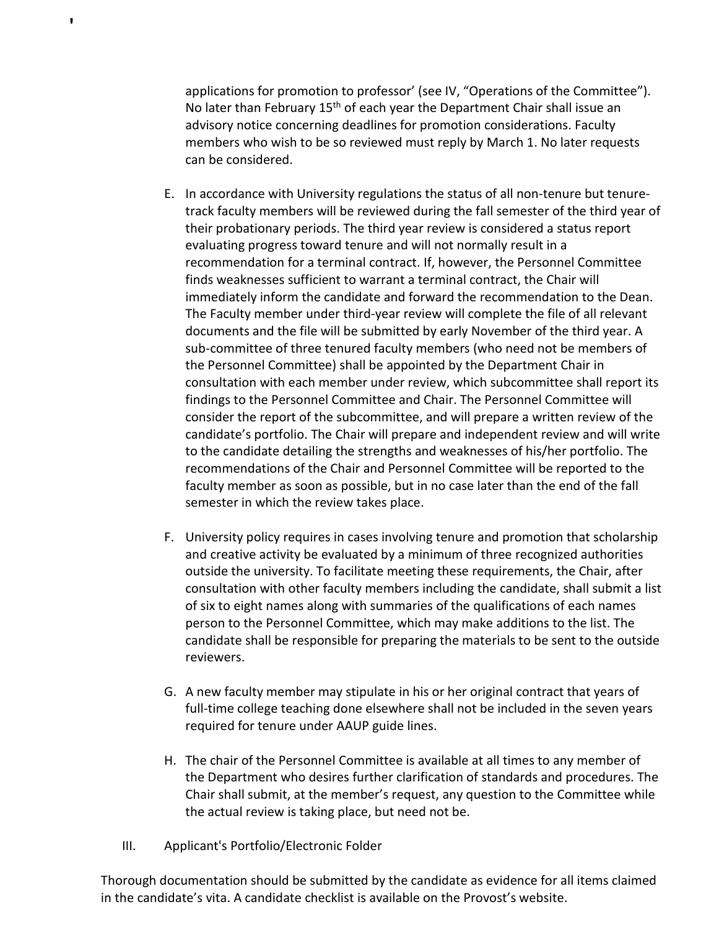applications for promotion to professor' (see IV, "Operations of the Committee"). No later than February 15<sup>th</sup> of each year the Department Chair shall issue an advisory notice concerning deadlines for promotion considerations. Faculty members who wish to be so reviewed must reply by March 1. No later requests can be considered.

- E. In accordance with University regulations the status of all non-tenure but tenuretrack faculty members will be reviewed during the fall semester of the third year of their probationary periods. The third year review is considered a status report evaluating progress toward tenure and will not normally result in a recommendation for a terminal contract. If, however, the Personnel Committee finds weaknesses sufficient to warrant a terminal contract, the Chair will immediately inform the candidate and forward the recommendation to the Dean. The Faculty member under third-year review will complete the file of all relevant documents and the file will be submitted by early November of the third year. A sub-committee of three tenured faculty members (who need not be members of the Personnel Committee) shall be appointed by the Department Chair in consultation with each member under review, which subcommittee shall report its findings to the Personnel Committee and Chair. The Personnel Committee will consider the report of the subcommittee, and will prepare a written review of the candidate's portfolio. The Chair will prepare and independent review and will write to the candidate detailing the strengths and weaknesses of his/her portfolio. The recommendations of the Chair and Personnel Committee will be reported to the faculty member as soon as possible, but in no case later than the end of the fall semester in which the review takes place.
- F. University policy requires in cases involving tenure and promotion that scholarship and creative activity be evaluated by a minimum of three recognized authorities outside the university. To facilitate meeting these requirements, the Chair, after consultation with other faculty members including the candidate, shall submit a list of six to eight names along with summaries of the qualifications of each names person to the Personnel Committee, which may make additions to the list. The candidate shall be responsible for preparing the materials to be sent to the outside reviewers.
- G. A new faculty member may stipulate in his or her original contract that years of full-time college teaching done elsewhere shall not be included in the seven years required for tenure under AAUP guide lines.
- H. The chair of the Personnel Committee is available at all times to any member of the Department who desires further clarification of standards and procedures. The Chair shall submit, at the member's request, any question to the Committee while the actual review is taking place, but need not be.
- III. Applicant's Portfolio/Electronic Folder

'

Thorough documentation should be submitted by the candidate as evidence for all items claimed in the candidate's vita. A candidate checklist is available on the Provost's website.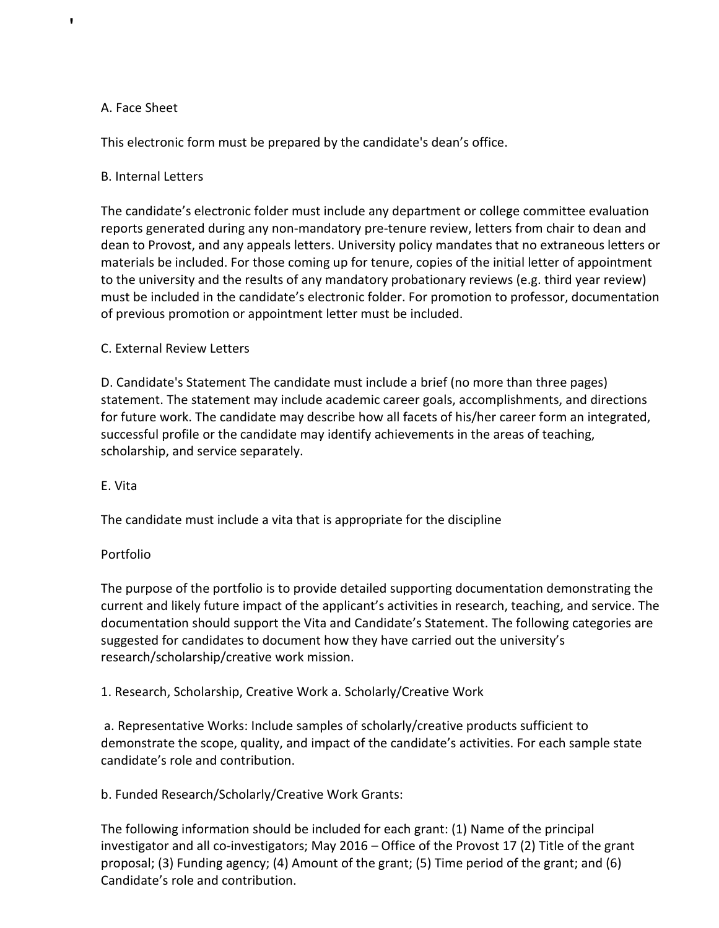## A. Face Sheet

'

This electronic form must be prepared by the candidate's dean's office.

## B. Internal Letters

The candidate's electronic folder must include any department or college committee evaluation reports generated during any non-mandatory pre-tenure review, letters from chair to dean and dean to Provost, and any appeals letters. University policy mandates that no extraneous letters or materials be included. For those coming up for tenure, copies of the initial letter of appointment to the university and the results of any mandatory probationary reviews (e.g. third year review) must be included in the candidate's electronic folder. For promotion to professor, documentation of previous promotion or appointment letter must be included.

## C. External Review Letters

D. Candidate's Statement The candidate must include a brief (no more than three pages) statement. The statement may include academic career goals, accomplishments, and directions for future work. The candidate may describe how all facets of his/her career form an integrated, successful profile or the candidate may identify achievements in the areas of teaching, scholarship, and service separately.

### E. Vita

The candidate must include a vita that is appropriate for the discipline

### Portfolio

The purpose of the portfolio is to provide detailed supporting documentation demonstrating the current and likely future impact of the applicant's activities in research, teaching, and service. The documentation should support the Vita and Candidate's Statement. The following categories are suggested for candidates to document how they have carried out the university's research/scholarship/creative work mission.

1. Research, Scholarship, Creative Work a. Scholarly/Creative Work

a. Representative Works: Include samples of scholarly/creative products sufficient to demonstrate the scope, quality, and impact of the candidate's activities. For each sample state candidate's role and contribution.

b. Funded Research/Scholarly/Creative Work Grants:

The following information should be included for each grant: (1) Name of the principal investigator and all co-investigators; May 2016 – Office of the Provost 17 (2) Title of the grant proposal; (3) Funding agency; (4) Amount of the grant; (5) Time period of the grant; and (6) Candidate's role and contribution.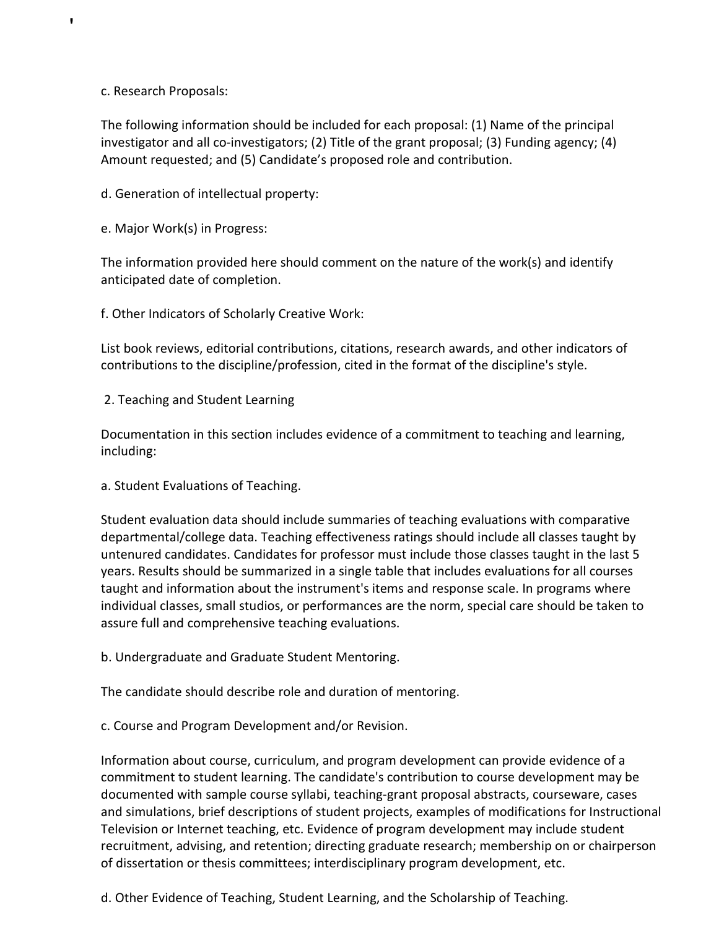c. Research Proposals:

'

The following information should be included for each proposal: (1) Name of the principal investigator and all co-investigators; (2) Title of the grant proposal; (3) Funding agency; (4) Amount requested; and (5) Candidate's proposed role and contribution.

d. Generation of intellectual property:

e. Major Work(s) in Progress:

The information provided here should comment on the nature of the work(s) and identify anticipated date of completion.

f. Other Indicators of Scholarly Creative Work:

List book reviews, editorial contributions, citations, research awards, and other indicators of contributions to the discipline/profession, cited in the format of the discipline's style.

2. Teaching and Student Learning

Documentation in this section includes evidence of a commitment to teaching and learning, including:

a. Student Evaluations of Teaching.

Student evaluation data should include summaries of teaching evaluations with comparative departmental/college data. Teaching effectiveness ratings should include all classes taught by untenured candidates. Candidates for professor must include those classes taught in the last 5 years. Results should be summarized in a single table that includes evaluations for all courses taught and information about the instrument's items and response scale. In programs where individual classes, small studios, or performances are the norm, special care should be taken to assure full and comprehensive teaching evaluations.

b. Undergraduate and Graduate Student Mentoring.

The candidate should describe role and duration of mentoring.

c. Course and Program Development and/or Revision.

Information about course, curriculum, and program development can provide evidence of a commitment to student learning. The candidate's contribution to course development may be documented with sample course syllabi, teaching-grant proposal abstracts, courseware, cases and simulations, brief descriptions of student projects, examples of modifications for Instructional Television or Internet teaching, etc. Evidence of program development may include student recruitment, advising, and retention; directing graduate research; membership on or chairperson of dissertation or thesis committees; interdisciplinary program development, etc.

d. Other Evidence of Teaching, Student Learning, and the Scholarship of Teaching.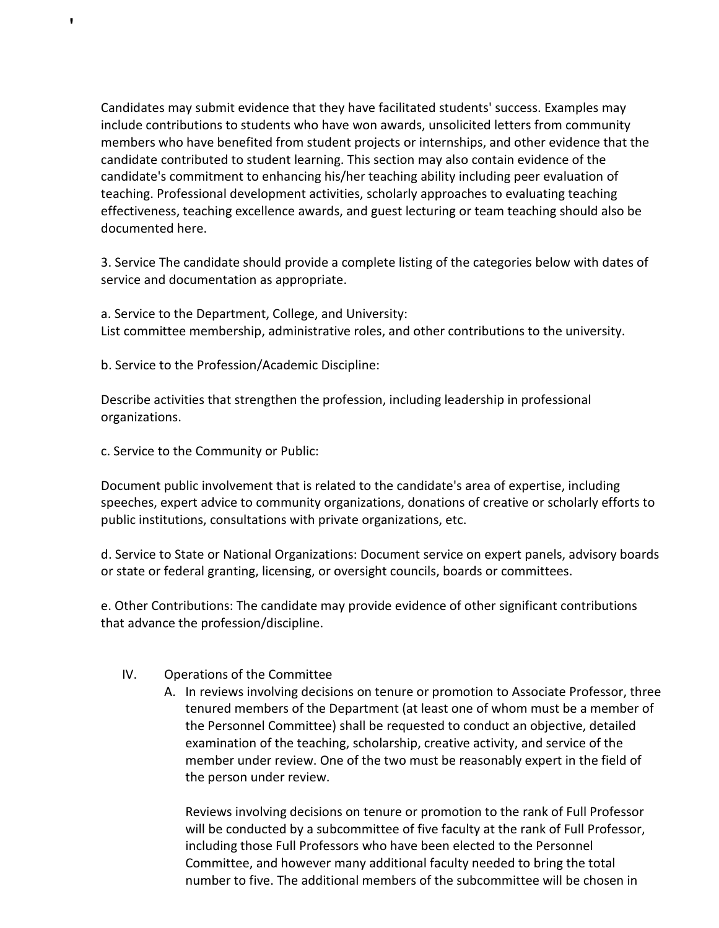Candidates may submit evidence that they have facilitated students' success. Examples may include contributions to students who have won awards, unsolicited letters from community members who have benefited from student projects or internships, and other evidence that the candidate contributed to student learning. This section may also contain evidence of the candidate's commitment to enhancing his/her teaching ability including peer evaluation of teaching. Professional development activities, scholarly approaches to evaluating teaching effectiveness, teaching excellence awards, and guest lecturing or team teaching should also be documented here.

3. Service The candidate should provide a complete listing of the categories below with dates of service and documentation as appropriate.

a. Service to the Department, College, and University: List committee membership, administrative roles, and other contributions to the university.

b. Service to the Profession/Academic Discipline:

Describe activities that strengthen the profession, including leadership in professional organizations.

c. Service to the Community or Public:

'

Document public involvement that is related to the candidate's area of expertise, including speeches, expert advice to community organizations, donations of creative or scholarly efforts to public institutions, consultations with private organizations, etc.

d. Service to State or National Organizations: Document service on expert panels, advisory boards or state or federal granting, licensing, or oversight councils, boards or committees.

e. Other Contributions: The candidate may provide evidence of other significant contributions that advance the profession/discipline.

# IV. Operations of the Committee

A. In reviews involving decisions on tenure or promotion to Associate Professor, three tenured members of the Department (at least one of whom must be a member of the Personnel Committee) shall be requested to conduct an objective, detailed examination of the teaching, scholarship, creative activity, and service of the member under review. One of the two must be reasonably expert in the field of the person under review.

Reviews involving decisions on tenure or promotion to the rank of Full Professor will be conducted by a subcommittee of five faculty at the rank of Full Professor, including those Full Professors who have been elected to the Personnel Committee, and however many additional faculty needed to bring the total number to five. The additional members of the subcommittee will be chosen in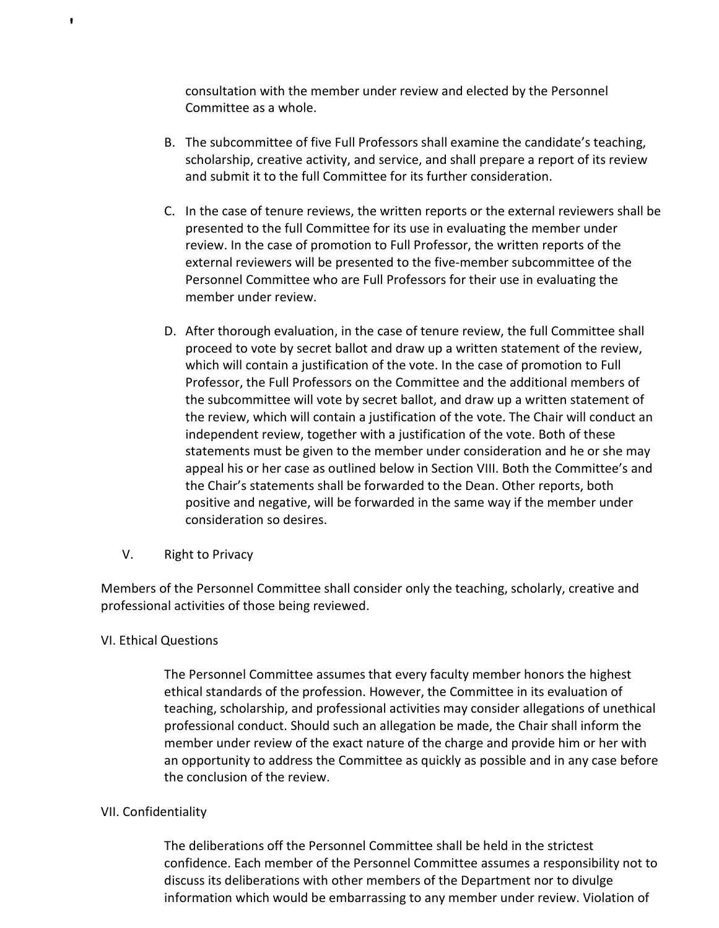consultation with the member under review and elected by the Personnel Committee as a whole.

- B. The subcommittee of five Full Professors shall examine the candidate's teaching, scholarship, creative activity, and service, and shall prepare a report of its review and submit it to the full Committee for its further consideration.
- C. In the case of tenure reviews, the written reports or the external reviewers shall be presented to the full Committee for its use in evaluating the member under review. In the case of promotion to Full Professor, the written reports of the external reviewers will be presented to the five-member subcommittee of the Personnel Committee who are Full Professors for their use in evaluating the member under review.
- D. After thorough evaluation, in the case of tenure review, the full Committee shall proceed to vote by secret ballot and draw up a written statement of the review, which will contain a justification of the vote. In the case of promotion to Full Professor, the Full Professors on the Committee and the additional members of the subcommittee will vote by secret ballot, and draw up a written statement of the review, which will contain a justification of the vote. The Chair will conduct an independent review, together with a justification of the vote. Both of these statements must be given to the member under consideration and he or she may appeal his or her case as outlined below in Section VIII. Both the Committee's and the Chair's statements shall be forwarded to the Dean. Other reports, both positive and negative, will be forwarded in the same way if the member under consideration so desires.
- V. Right to Privacy

Members of the Personnel Committee shall consider only the teaching, scholarly, creative and professional activities of those being reviewed.

# VI. Ethical Questions

'

The Personnel Committee assumes that every faculty member honors the highest ethical standards of the profession. However, the Committee in its evaluation of teaching, scholarship, and professional activities may consider allegations of unethical professional conduct. Should such an allegation be made, the Chair shall inform the member under review of the exact nature of the charge and provide him or her with an opportunity to address the Committee as quickly as possible and in any case before the conclusion of the review.

### VII. Confidentiality

The deliberations off the Personnel Committee shall be held in the strictest confidence. Each member of the Personnel Committee assumes a responsibility not to discuss its deliberations with other members of the Department nor to divulge information which would be embarrassing to any member under review. Violation of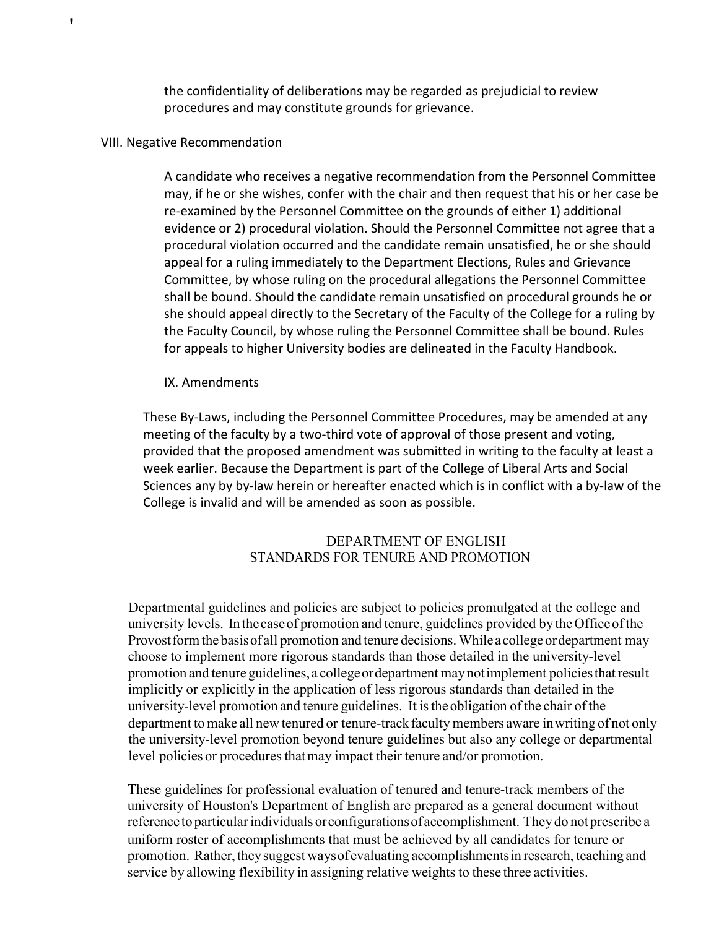the confidentiality of deliberations may be regarded as prejudicial to review procedures and may constitute grounds for grievance.

### VIII. Negative Recommendation

'

A candidate who receives a negative recommendation from the Personnel Committee may, if he or she wishes, confer with the chair and then request that his or her case be re-examined by the Personnel Committee on the grounds of either 1) additional evidence or 2) procedural violation. Should the Personnel Committee not agree that a procedural violation occurred and the candidate remain unsatisfied, he or she should appeal for a ruling immediately to the Department Elections, Rules and Grievance Committee, by whose ruling on the procedural allegations the Personnel Committee shall be bound. Should the candidate remain unsatisfied on procedural grounds he or she should appeal directly to the Secretary of the Faculty of the College for a ruling by the Faculty Council, by whose ruling the Personnel Committee shall be bound. Rules for appeals to higher University bodies are delineated in the Faculty Handbook.

### IX. Amendments

These By-Laws, including the Personnel Committee Procedures, may be amended at any meeting of the faculty by a two-third vote of approval of those present and voting, provided that the proposed amendment was submitted in writing to the faculty at least a week earlier. Because the Department is part of the College of Liberal Arts and Social Sciences any by by-law herein or hereafter enacted which is in conflict with a by-law of the College is invalid and will be amended as soon as possible.

# DEPARTMENT OF ENGLISH STANDARDS FOR TENURE AND PROMOTION

Departmental guidelines and policies are subject to policies promulgated at the college and university levels. In thecaseof promotion and tenure, guidelines provided by the Officeofthe Provost form the basis of all promotion and tenure decisions. While a college ordepartment may choose to implement more rigorous standards than those detailed in the university-level promotion and tenure guidelines, a collegeordepartment maynotimplement policiesthatresult implicitly or explicitly in the application of less rigorous standards than detailed in the university-level promotion and tenure guidelines. It isthe obligation of the chair of the department to make all new tenured or tenure-track faculty members aware in writing of not only the university-level promotion beyond tenure guidelines but also any college or departmental level policies or procedures that may impact their tenure and/or promotion.

These guidelines for professional evaluation of tenured and tenure-track members of the university of Houston's Department of English are prepared as a general document without reference to particular individuals or configurations of accomplishment. They do not prescribe a uniform roster of accomplishments that must be achieved by all candidates for tenure or promotion. Rather, theysuggest waysofevaluating accomplishmentsin research, teaching and service by allowing flexibility in assigning relative weights to these three activities.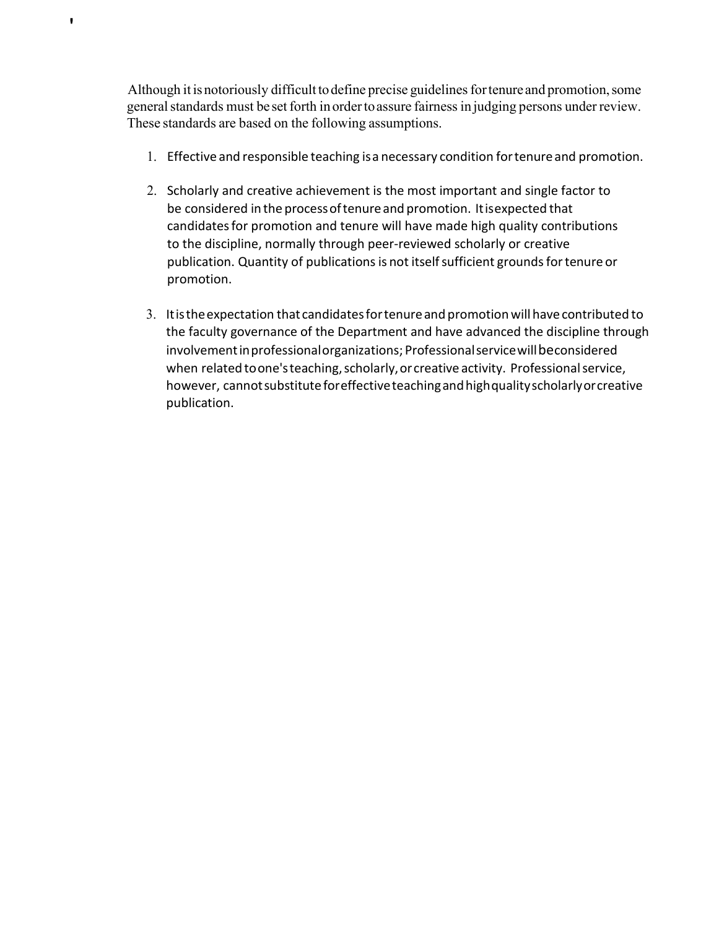Although it is notoriously difficult to define precise guidelines for tenure and promotion, some general standards must be set forth in order to assure fairness in judging persons under review. These standards are based on the following assumptions.

- 1. Effective and responsible teaching isa necessary condition fortenureand promotion.
- 2. Scholarly and creative achievement is the most important and single factor to be considered in the processoftenureand promotion. Itisexpected that candidatesfor promotion and tenure will have made high quality contributions to the discipline, normally through peer-reviewed scholarly or creative publication. Quantity of publications is not itself sufficient grounds for tenure or promotion.
- 3. Itistheexpectation that candidatesfortenureand promotion will havecontributed to the faculty governance of the Department and have advanced the discipline through involvement in professional organizations; Professional service will beconsidered when related to one's teaching, scholarly, or creative activity. Professional service, however, cannot substitute for effective teaching and high quality scholarly or creative publication.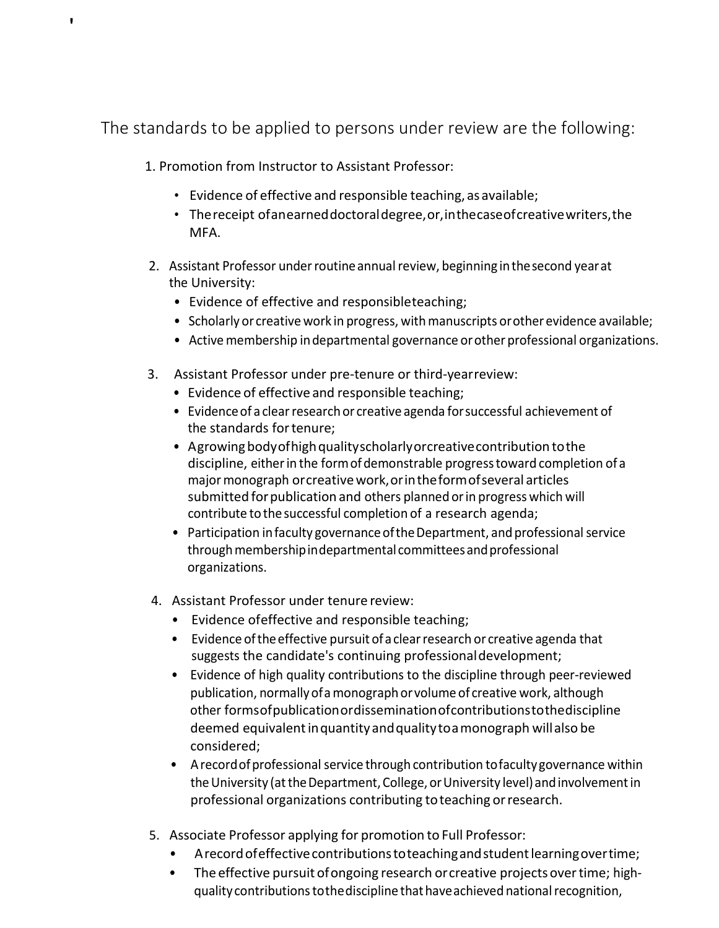The standards to be applied to persons under review are the following:

1. Promotion from Instructor to Assistant Professor:

- Evidence of effective and responsible teaching, as available;
- Thereceipt ofanearneddoctoraldegree,or,inthecaseofcreativewriters,the MFA.
- 2. Assistant Professor underroutineannualreview, beginning inthesecond yearat the University:
	- Evidence of effective and responsibleteaching;
	- Scholarly or creative work in progress, with manuscripts or other evidence available;
	- Active membership in departmental governance or other professional organizations.
- 3. Assistant Professor under pre-tenure or third-yearreview:
	- Evidence of effective and responsible teaching;
	- Evidence of a clear research or creative agenda for successful achievement of the standards fortenure;
	- Agrowing body of high quality scholarly or creative contribution to the discipline, eitherin the formofdemonstrable progresstoward completion of a majormonograph orcreativework,orintheformofseveral articles submitted for publication and others planned or in progress which will contribute to the successful completion of a research agenda;
	- Participation in faculty governance of the Department, and professional service through membership indepartmental committees and professional organizations.
- 4. Assistant Professor under tenure review:
	- Evidence ofeffective and responsible teaching;
	- Evidence oftheeffective pursuit ofa clearresearch or creative agenda that suggests the candidate's continuing professionaldevelopment;
	- Evidence of high quality contributions to the discipline through peer-reviewed publication, normallyofamonographorvolume of creative work, although other formsofpublicationordisseminationofcontributionstothediscipline deemed equivalentinquantity andqualitytoamonograph willalso be considered;
	- A record of professional service through contribution to faculty governance within the University (at the Department, College, or University level) and involvement in professional organizations contributing toteaching orresearch.
- 5. Associate Professor applying for promotion to Full Professor:
	- A record of effective contributions to teaching and student learning over time;
	- The effective pursuit of ongoing research or creative projects over time; highqualitycontributionstothediscipline thathaveachieved nationalrecognition,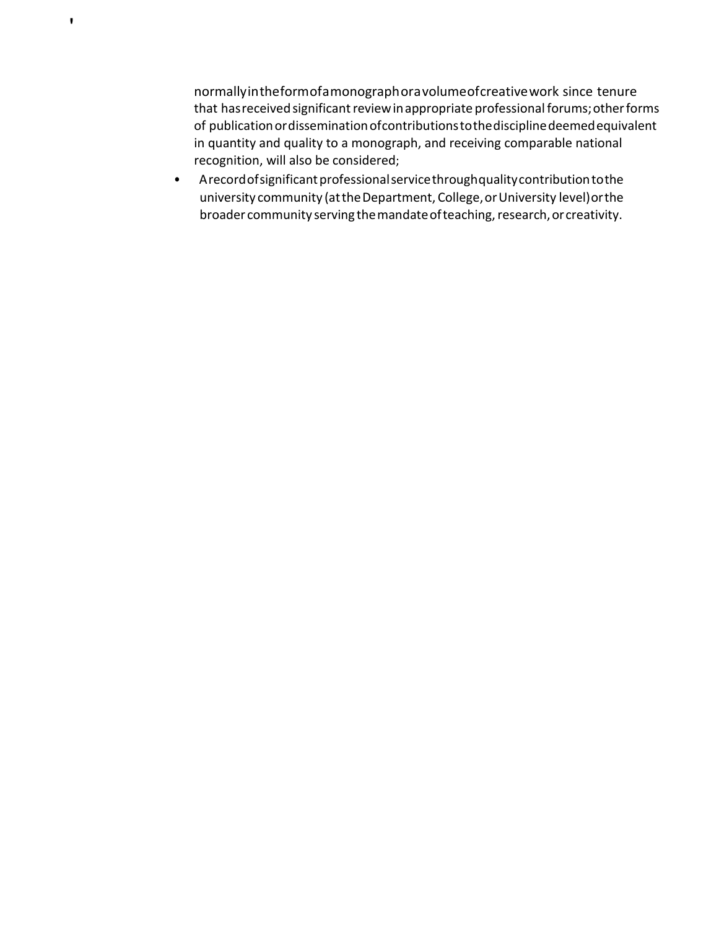normallyintheformofamonographoravolumeofcreativework since tenure that has received significant review in appropriate professional forums; other forms of publicationordisseminationofcontributionstothedisciplinedeemedequivalent in quantity and quality to a monograph, and receiving comparable national recognition, will also be considered;

• Arecord of significant professional service through quality contribution to the university community (at the Department, College, or University level) or the broader community serving the mandate of teaching, research, or creativity.